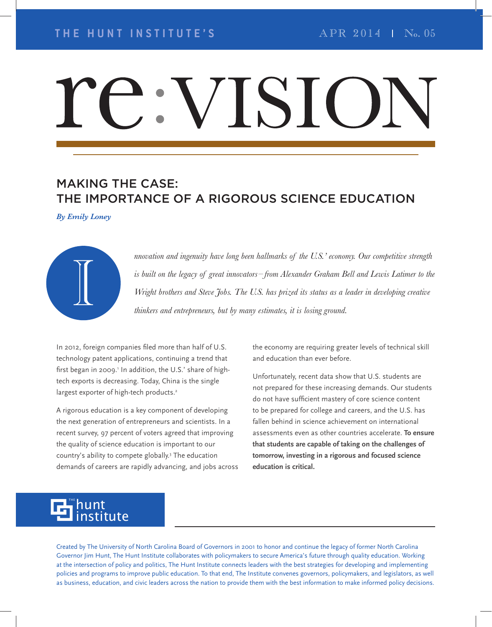# IS

# MAKING THE CASE: THE IMPORTANCE OF A RIGOROUS SCIENCE EDUCATION

*By Emily Loney*



*nnovation and ingenuity have long been hallmarks of the U.S.' economy. Our competitive strength is built on the legacy of great innovators – from Alexander Graham Bell and Lewis Latimer to the Mrothers and ingenuity have long been hallmarks of the U.S. economy. Our competitive strength*<br>is built on the legacy of great innovators—from Alexander Graham Bell and Lewis Latimer to the<br>Wright brothers and Steve Jobs. *thinkers and entrepreneurs, but by many estimates, it is losing ground.*

In 2012, foreign companies filed more than half of U.S. technology patent applications, continuing a trend that first began in 2009.' In addition, the U.S.' share of hightech exports is decreasing. Today, China is the single largest exporter of high-tech products.<sup>2</sup>

A rigorous education is a key component of developing the next generation of entrepreneurs and scientists. In a recent survey, 97 percent of voters agreed that improving the quality of science education is important to our country's ability to compete globally.3 The education demands of careers are rapidly advancing, and jobs across the economy are requiring greater levels of technical skill and education than ever before.

Unfortunately, recent data show that U.S. students are not prepared for these increasing demands. Our students do not have sufficient mastery of core science content to be prepared for college and careers, and the U.S. has fallen behind in science achievement on international assessments even as other countries accelerate. **To ensure that students are capable of taking on the challenges of tomorrow, investing in a rigorous and focused science education is critical.**

#### hunt institute THE

Created by The University of North Carolina Board of Governors in 2001 to honor and continue the legacy of former North Carolina Governor Jim Hunt, The Hunt Institute collaborates with policymakers to secure America's future through quality education. Working at the intersection of policy and politics, The Hunt Institute connects leaders with the best strategies for developing and implementing policies and programs to improve public education. To that end, The Institute convenes governors, policymakers, and legislators, as well as business, education, and civic leaders across the nation to provide them with the best information to make informed policy decisions.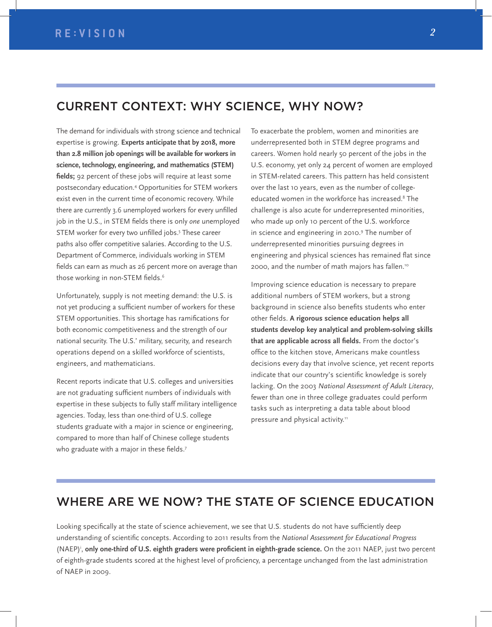### CURRENT CONTEXT: WHY SCIENCE, WHY NOW?

The demand for individuals with strong science and technical expertise is growing. **Experts anticipate that by 2018, more than 2.8 million job openings will be available for workers in science, technology, engineering, and mathematics (STEM)**  fields; 92 percent of these jobs will require at least some postsecondary education.4 Opportunities for STEM workers exist even in the current time of economic recovery. While there are currently 3.6 unemployed workers for every unfilled job in the U.S., in STEM fields there is only *one* unemployed STEM worker for every two unfilled jobs.<sup>5</sup> These career paths also offer competitive salaries. According to the U.S. Department of Commerce, individuals working in STEM fields can earn as much as 26 percent more on average than those working in non-STEM fields.<sup>6</sup>

Unfortunately, supply is not meeting demand: the U.S. is not yet producing a sufficient number of workers for these STEM opportunities. This shortage has ramifications for both economic competitiveness and the strength of our national security. The U.S.' military, security, and research operations depend on a skilled workforce of scientists, engineers, and mathematicians.

Recent reports indicate that U.S. colleges and universities are not graduating sufficient numbers of individuals with expertise in these subjects to fully staff military intelligence agencies. Today, less than one-third of U.S. college students graduate with a major in science or engineering, compared to more than half of Chinese college students who graduate with a major in these fields.7

To exacerbate the problem, women and minorities are underrepresented both in STEM degree programs and careers. Women hold nearly 50 percent of the jobs in the U.S. economy, yet only 24 percent of women are employed in STEM-related careers. This pattern has held consistent over the last 10 years, even as the number of collegeeducated women in the workforce has increased.8 The challenge is also acute for underrepresented minorities, who made up only 10 percent of the U.S. workforce in science and engineering in 2010.<sup>9</sup> The number of underrepresented minorities pursuing degrees in engineering and physical sciences has remained flat since 2000, and the number of math majors has fallen.10

Improving science education is necessary to prepare additional numbers of STEM workers, but a strong background in science also benefits students who enter other fields. A rigorous science education helps all **students develop key analytical and problem-solving skills**  that are applicable across all fields. From the doctor's office to the kitchen stove, Americans make countless decisions every day that involve science, yet recent reports indicate that our country's scientific knowledge is sorely lacking. On the 2003 *National Assessment of Adult Literacy*, fewer than one in three college graduates could perform tasks such as interpreting a data table about blood pressure and physical activity.<sup>11</sup>

## WHERE ARE WE NOW? THE STATE OF SCIENCE EDUCATION

Looking specifically at the state of science achievement, we see that U.S. students do not have sufficiently deep understanding of scientific concepts. According to 2011 results from the *National Assessment for Educational Progress* (NAEP)<sup>i</sup>, only one-third of U.S. eighth graders were proficient in eighth-grade science. On the 2011 NAEP, just two percent of eighth-grade students scored at the highest level of proficiency, a percentage unchanged from the last administration of NAEP in 2009.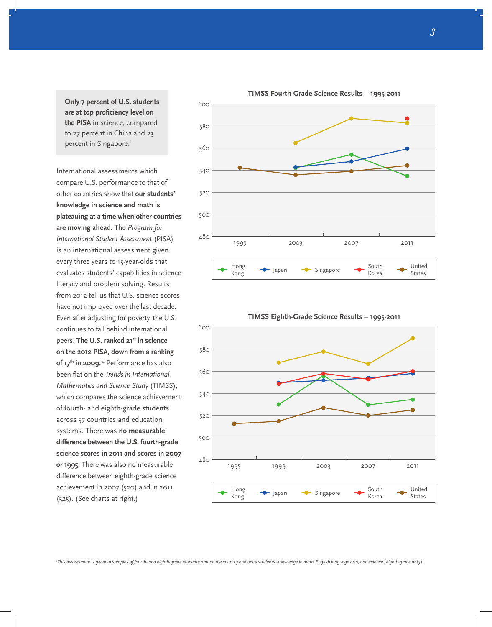**Only 7 percent of U.S. students**  are at top proficiency level on **the PISA** in science, compared to 27 percent in China and 23 percent in Singapore.<sup>i</sup>

International assessments which compare U.S. performance to that of other countries show that **our students' knowledge in science and math is plateauing at a time when other countries are moving ahead.** The *Program for International Student Assessment* (PISA) is an international assessment given every three years to 15-year-olds that evaluates students' capabilities in science literacy and problem solving. Results from 2012 tell us that U.S. science scores have not improved over the last decade. Even after adjusting for poverty, the U.S. continues to fall behind international peers. **The U.S. ranked 21st in science on the 2012 PISA, down from a ranking of 17th in 2009.**12 Performance has also been flat on the *Trends in International Mathematics and Science Study* (TIMSS), which compares the science achievement of fourth- and eighth-grade students across 57 countries and education systems. There was **no measurable difference between the U.S. fourth-grade science scores in 2011 and scores in 2007 or 1995.** There was also no measurable difference between eighth-grade science achievement in 2007 (520) and in 2011 (525). (See charts at right.)





**TIMSS Eighth-Grade Science Results – 1995-2011**

**TIMSS Fourth-Grade Science Results – 1995-2011**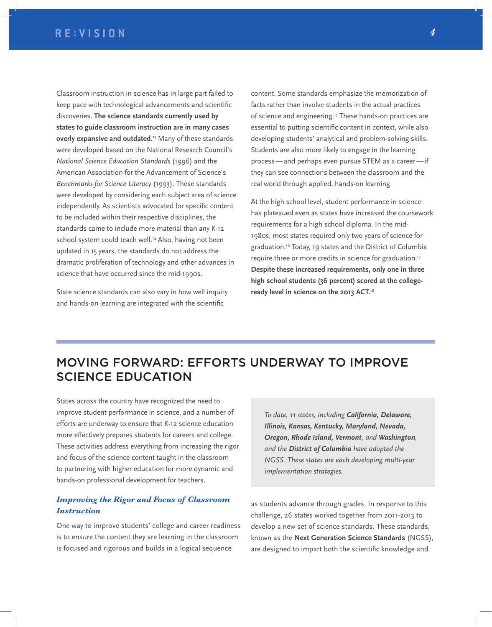Classroom instruction in science has in large part failed to keep pace with technological advancements and scientific discoveries. **The science standards currently used by states to guide classroom instruction are in many cases overly expansive and outdated.**13 Many of these standards were developed based on the National Research Council's *National Science Education Standards* (1996) and the American Association for the Advancement of Science's *Benchmarks for Science Literacy* (1993). These standards were developed by considering each subject area of science independently. As scientists advocated for specific content to be included within their respective disciplines, the standards came to include more material than any K-12 school system could teach well.<sup>14</sup> Also, having not been updated in 15 years, the standards do not address the dramatic proliferation of technology and other advances in science that have occurred since the mid-1990s.

State science standards can also vary in how well inquiry and hands-on learning are integrated with the scientific

content. Some standards emphasize the memorization of facts rather than involve students in the actual practices of science and engineering.15 These hands-on practices are essential to putting scientific content in context, while also developing students' analytical and problem-solving skills. Students are also more likely to engage in the learning process — and perhaps even pursue STEM as a career — if they can see connections between the classroom and the real world through applied, hands-on learning.

At the high school level, student performance in science has plateaued even as states have increased the coursework requirements for a high school diploma. In the mid-1980s, most states required only two years of science for graduation.16 Today, 19 states and the District of Columbia require three or more credits in science for graduation.<sup>17</sup> **Despite these increased requirements, only one in three high school students (36 percent) scored at the collegeready level in science on the 2013 ACT.**<sup>18</sup>

# MOVING FORWARD: EFFORTS UNDERWAY TO IMPROVE SCIENCE EDUCATION

States across the country have recognized the need to improve student performance in science, and a number of efforts are underway to ensure that K-12 science education more effectively prepares students for careers and college. These activities address everything from increasing the rigor and focus of the science content taught in the classroom to partnering with higher education for more dynamic and hands-on professional development for teachers.

#### *Improving the Rigor and Focus of Classroom Instruction*

One way to improve students' college and career readiness is to ensure the content they are learning in the classroom is focused and rigorous and builds in a logical sequence

*To date, 11 states, including California, Delaware, Illinois, Kansas, Kentucky, Maryland, Nevada, Oregon, Rhode Island, Vermont, and Washington, and the District of Columbia have adopted the NGSS. These states are each developing multi-year implementation strategies.*

as students advance through grades. In response to this challenge, 26 states worked together from 2011-2013 to develop a new set of science standards. These standards, known as the **Next Generation Science Standards** (NGSS), are designed to impart both the scientific knowledge and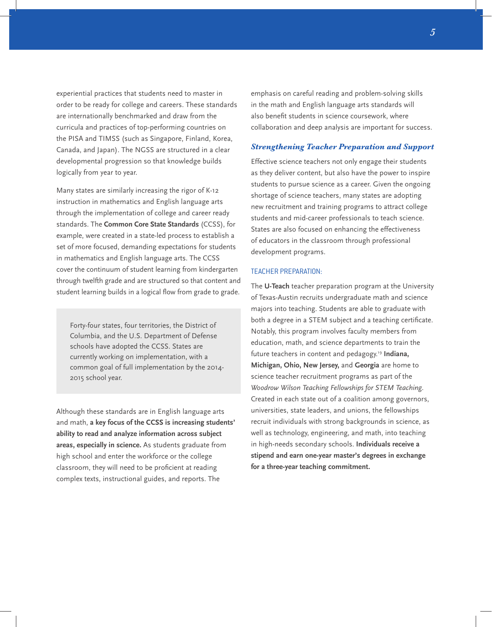experiential practices that students need to master in order to be ready for college and careers. These standards are internationally benchmarked and draw from the curricula and practices of top-performing countries on the PISA and TIMSS (such as Singapore, Finland, Korea, Canada, and Japan). The NGSS are structured in a clear developmental progression so that knowledge builds logically from year to year.

Many states are similarly increasing the rigor of K-12 instruction in mathematics and English language arts through the implementation of college and career ready standards. The **Common Core State Standards** (CCSS), for example, were created in a state-led process to establish a set of more focused, demanding expectations for students in mathematics and English language arts. The CCSS cover the continuum of student learning from kindergarten through twelfth grade and are structured so that content and student learning builds in a logical flow from grade to grade.

Forty-four states, four territories, the District of Columbia, and the U.S. Department of Defense schools have adopted the CCSS. States are currently working on implementation, with a common goal of full implementation by the 2014- 2015 school year.

Although these standards are in English language arts and math, **a key focus of the CCSS is increasing students' ability to read and analyze information across subject areas, especially in science.** As students graduate from high school and enter the workforce or the college classroom, they will need to be proficient at reading complex texts, instructional guides, and reports. The

emphasis on careful reading and problem-solving skills in the math and English language arts standards will also benefit students in science coursework, where collaboration and deep analysis are important for success.

#### *Strengthening Teacher Preparation and Support*

Effective science teachers not only engage their students as they deliver content, but also have the power to inspire students to pursue science as a career. Given the ongoing shortage of science teachers, many states are adopting new recruitment and training programs to attract college students and mid-career professionals to teach science. States are also focused on enhancing the effectiveness of educators in the classroom through professional development programs.

#### TEACHER PREPARATION:

The **U-Teach** teacher preparation program at the University of Texas-Austin recruits undergraduate math and science majors into teaching. Students are able to graduate with both a degree in a STEM subject and a teaching certificate. Notably, this program involves faculty members from education, math, and science departments to train the future teachers in content and pedagogy.19 **Indiana, Michigan, Ohio, New Jersey,** and **Georgia** are home to science teacher recruitment programs as part of the *Woodrow Wilson Teaching Fellowships for STEM Teaching*. Created in each state out of a coalition among governors, universities, state leaders, and unions, the fellowships recruit individuals with strong backgrounds in science, as well as technology, engineering, and math, into teaching in high-needs secondary schools. **Individuals receive a stipend and earn one-year master's degrees in exchange for a three-year teaching commitment.**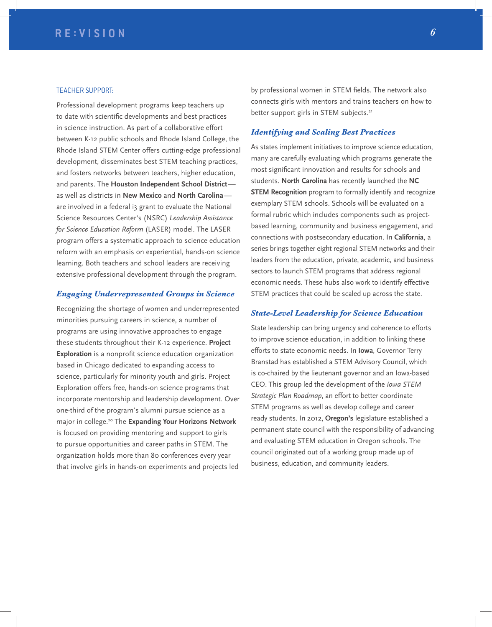#### TEACHER SUPPORT:

Professional development programs keep teachers up to date with scientific developments and best practices in science instruction. As part of a collaborative effort between K-12 public schools and Rhode Island College, the Rhode Island STEM Center offers cutting-edge professional development, disseminates best STEM teaching practices, and fosters networks between teachers, higher education, and parents. The **Houston Independent School District** as well as districts in **New Mexico** and **North Carolina** are involved in a federal i3 grant to evaluate the National Science Resources Center's (NSRC) *Leadership Assistance for Science Education Reform* (LASER) model. The LASER program offers a systematic approach to science education reform with an emphasis on experiential, hands-on science learning. Both teachers and school leaders are receiving extensive professional development through the program.

#### *Engaging Underrepresented Groups in Science*

Recognizing the shortage of women and underrepresented minorities pursuing careers in science, a number of programs are using innovative approaches to engage these students throughout their K-12 experience. **Project Exploration** is a nonprofit science education organization based in Chicago dedicated to expanding access to science, particularly for minority youth and girls. Project Exploration offers free, hands-on science programs that incorporate mentorship and leadership development. Over one-third of the program's alumni pursue science as a major in college.20 The **Expanding Your Horizons Network** is focused on providing mentoring and support to girls to pursue opportunities and career paths in STEM. The organization holds more than 80 conferences every year that involve girls in hands-on experiments and projects led

by professional women in STEM fields. The network also connects girls with mentors and trains teachers on how to better support girls in STEM subjects.<sup>21</sup>

#### *Identifying and Scaling Best Practices*

As states implement initiatives to improve science education, many are carefully evaluating which programs generate the most significant innovation and results for schools and students. **North Carolina** has recently launched the **NC STEM Recognition** program to formally identify and recognize exemplary STEM schools. Schools will be evaluated on a formal rubric which includes components such as projectbased learning, community and business engagement, and connections with postsecondary education. In **California**, a series brings together eight regional STEM networks and their leaders from the education, private, academic, and business sectors to launch STEM programs that address regional economic needs. These hubs also work to identify effective STEM practices that could be scaled up across the state.

#### *State-Level Leadership for Science Education*

State leadership can bring urgency and coherence to efforts to improve science education, in addition to linking these efforts to state economic needs. In **Iowa**, Governor Terry Branstad has established a STEM Advisory Council, which is co-chaired by the lieutenant governor and an Iowa-based CEO. This group led the development of the *Iowa STEM Strategic Plan Roadmap*, an effort to better coordinate STEM programs as well as develop college and career ready students. In 2012, **Oregon's** legislature established a permanent state council with the responsibility of advancing and evaluating STEM education in Oregon schools. The council originated out of a working group made up of business, education, and community leaders.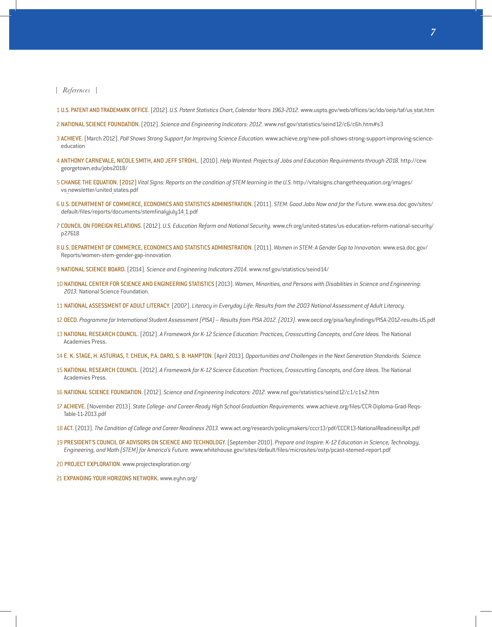*References*

- 1 U.S. PATENT AND TRADEMARK OFFICE. [2012]. *U.S. Patent Statistics Chart, Calendar Years 1963-2012.* www.uspto.gov/web/offices/ac/ido/oeip/taf/us stat.htm
- 2 NATIONAL SCIENCE FOUNDATION. (2012). *Science and Engineering Indicators: 2012.* www.nsf.gov/statistics/seind12/c6/c6h.htm#s3
- 3 ACHIEVE. [March 2012]. Poll Shows Strong Support for Improving Science Education. www.achieve.org/new-poll-shows-strong-support-improving-scienceeducation
- 4 ANTHONY CARNEVALE, NICOLE SMITH, AND JEFF STROHL. [2010]. *Help Wanted: Projects of Jobs and Education Requirements through 2018.* http://cew. georgetown.edu/jobs2018/
- 5 CHANGE THE EQUATION. [2012] *Vital Signs: Reports on the condition of STEM learning in the U.S.* http://vitalsigns.changetheequation.org/images/ vs newsletter/united states.pdf
- 6 U.S. DEPARTMENT OF COMMERCE, ECONOMICS AND STATISTICS ADMINISTRATION. [2011]. *STEM: Good Jobs Now and for the Future.* www.esa.doc.gov/sites/ default/files/reports/documents/stemfinalyjuly14\_1.pdf
- 7 COUNCIL ON FOREIGN RELATIONS. [2012]. *U.S. Education Reform and National Security.* www.cfr.org/united-states/us-education-reform-national-security/ p27618
- 8 U.S. DEPARTMENT OF COMMERCE, ECONOMICS AND STATISTICS ADMINISTRATION. [2011]. Women in STEM: A Gender Gap to Innovation. www.esa.doc.gov/ Reports/women-stem-gender-gap-innovation
- 9 NATIONAL SCIENCE BOARD. [2014]. *Science and Engineering Indicators 2014*. www.nsf.gov/statistics/seind14/
- 10 NATIONAL CENTER FOR SCIENCE AND ENGINEERING STATISTICS (2013). Women, Minorities, and Persons with Disabilities in Science and Engineering: *2013.* National Science Foundation.
- 11 NATIONAL ASSESSMENT OF ADULT LITERACY. (2007). Literacy in Everyday Life: Results from the 2003 National Assessment of Adult Literacy.
- 12 OECD. *Programme for International Student Assessment (PISA) Results from PISA 2012. (2013)*. www.oecd.org/pisa/keyfi ndings/PISA-2012-results-US.pdf
- 13 NATIONAL RESEARCH COUNCIL. (2012). A Framework for K-12 Science Education: Practices, Crosscutting Concepts, and Core Ideas. The National Academies Press.
- 14 E. K. STAGE, H. ASTURIAS, T. CHEUK, P.A. DARO, S. B. HAMPTON. (April 2013). *Opportunities and Challenges in the Next Generation Standards. Science.*
- 15 NATIONAL RESEARCH COUNCIL. (2012). A Framework for K-12 Science Education: Practices, Crosscutting Concepts, and Core Ideas. The National Academies Press.
- 16 NATIONAL SCIENCE FOUNDATION. (2012). *Science and …ngineering Indicators: 2012.* www.nsf.gov/statistics/seind12/c1/c1s2.htm
- 17 ACHIEVE. (November 2013). *State College- and Career-Ready High School Graduation Requirements.* www.achieve.org/fi les/CCR-Diploma-Grad-Reqs-Table-11-2013.pdf
- 18 ACT. (2013). *The Condition of College and Career Readiness 2013.* www.act.org/research/policymakers/cccr13/pdf/CCCR13-NationalReadinessRpt.pdf
- 19 PRESIDENT'S COUNCIL OF ADVISORS ON SCIENCE AND TECHNOLOGY. (September 2010). Prepare and Inspire: K-12 Education in Science, Technology, *…ngineering, and Math (ST…M) for America's Future.* www.whitehouse.gov/sites/default/fi les/microsites/ostp/pcast-stemed-report.pdf
- 20 PROJECT EXPLORATION. www.projectexploration.org/
- 21 EXPANDING YOUR HORIZONS NETWORK. www.eyhn.org/